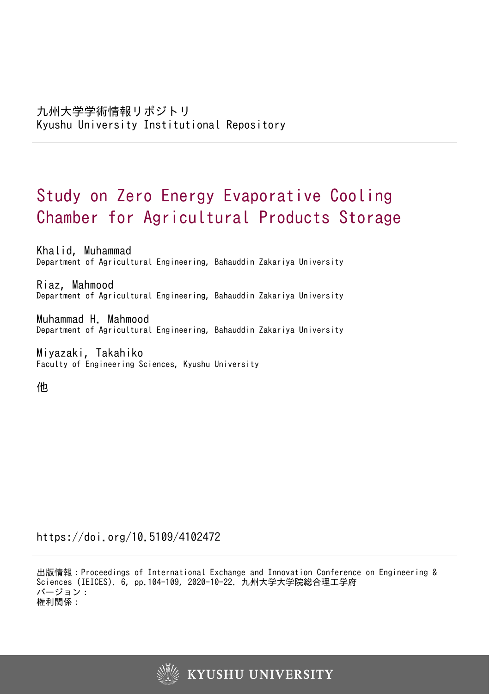# Study on Zero Energy Evaporative Cooling Chamber for Agricultural Products Storage

Khalid, Muhammad Department of Agricultural Engineering, Bahauddin Zakariya University

Riaz, Mahmood Department of Agricultural Engineering, Bahauddin Zakariya University

Muhammad H. Mahmood Department of Agricultural Engineering, Bahauddin Zakariya University

Miyazaki, Takahiko Faculty of Engineering Sciences, Kyushu University

他

https://doi.org/10.5109/4102472

出版情報:Proceedings of International Exchange and Innovation Conference on Engineering & Sciences (IEICES). 6, pp.104-109, 2020-10-22. 九州大学大学院総合理工学府 バージョン: 権利関係:

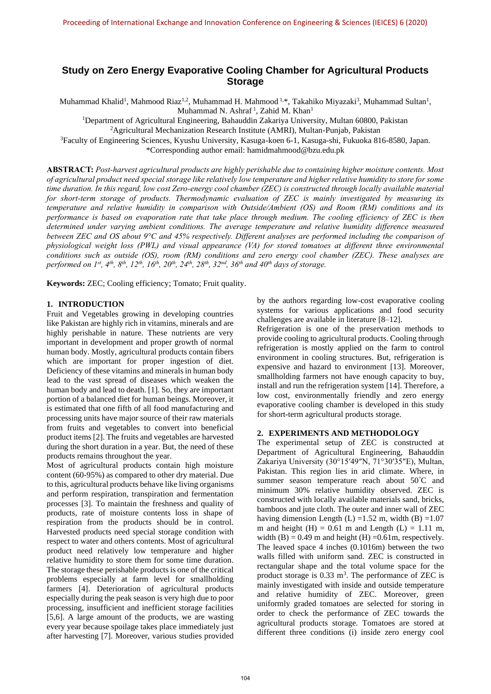## **Study on Zero Energy Evaporative Cooling Chamber for Agricultural Products Storage**

Muhammad Khalid<sup>1</sup>, Mahmood Riaz<sup>1,2</sup>, Muhammad H. Mahmood <sup>1,\*</sup>, Takahiko Miyazaki<sup>3</sup>, Muhammad Sultan<sup>1</sup>, Muhammad N. Ashraf<sup>1</sup>, Zahid M. Khan<sup>1</sup>

<sup>1</sup>Department of Agricultural Engineering, Bahauddin Zakariya University, Multan 60800, Pakistan

<sup>2</sup>Agricultural Mechanization Research Institute (AMRI), Multan-Punjab, Pakistan

<sup>3</sup>Faculty of Engineering Sciences, Kyushu University, Kasuga-koen 6-1, Kasuga-shi, Fukuoka 816-8580, Japan. \*Corresponding author email: [hamidmahmood@bzu.edu.pk](mailto:hamidmahmood@bzu.edu.pk)

**ABSTRACT:** *Post-harvest agricultural products are highly perishable due to containing higher moisture contents. Most of agricultural product need special storage like relatively low temperature and higher relative humidity to store for some time duration. In this regard, low cost Zero-energy cool chamber (ZEC) is constructed through locally available material for short-term storage of products. Thermodynamic evaluation of ZEC is mainly investigated by measuring its temperature and relative humidity in comparison with Outside/Ambient (OS) and Room (RM) conditions and its performance is based on evaporation rate that take place through medium. The cooling efficiency of ZEC is then determined under varying ambient conditions. The average temperature and relative humidity difference measured between ZEC and OS about 9°C and 45% respectively. Different analyses are performed including the comparison of physiological weight loss (PWL) and visual appearance (VA) for stored tomatoes at different three environmental conditions such as outside (OS), room (RM) conditions and zero energy cool chamber (ZEC). These analyses are*  performed on  $I^{st}$ ,  $4^{th}$ ,  $8^{th}$ ,  $12^{th}$ ,  $16^{th}$ ,  $20^{th}$ ,  $24^{th}$ ,  $28^{th}$ ,  $32^{nd}$ ,  $36^{th}$  and  $40^{th}$  days of storage.

**Keywords:** ZEC; Cooling efficiency; Tomato; Fruit quality.

#### **1. INTRODUCTION**

Fruit and Vegetables growing in developing countries like Pakistan are highly rich in vitamins, minerals and are highly perishable in nature. These nutrients are very important in development and proper growth of normal human body. Mostly, agricultural products contain fibers which are important for proper ingestion of diet. Deficiency of these vitamins and minerals in human body lead to the vast spread of diseases which weaken the human body and lead to death. [1]. So, they are important portion of a balanced diet for human beings. Moreover, it is estimated that one fifth of all food manufacturing and processing units have major source of their raw materials from fruits and vegetables to convert into beneficial product items [2]. The fruits and vegetables are harvested during the short duration in a year. But, the need of these products remains throughout the year.

Most of agricultural products contain high moisture content (60-95%) as compared to other dry material. Due to this, agricultural products behave like living organisms and perform respiration, transpiration and fermentation processes [3]. To maintain the freshness and quality of products, rate of moisture contents loss in shape of respiration from the products should be in control. Harvested products need special storage condition with respect to water and others contents. Most of agricultural product need relatively low temperature and higher relative humidity to store them for some time duration. The storage these perishable products is one of the critical problems especially at farm level for smallholding farmers [4]. Deterioration of agricultural products especially during the peak season is very high due to poor processing, insufficient and inefficient storage facilities [5,6]. A large amount of the products, we are wasting every year because spoilage takes place immediately just after harvesting [7]. Moreover, various studies provided by the authors regarding low-cost evaporative cooling systems for various applications and food security challenges are available in literature [8–12].

Refrigeration is one of the preservation methods to provide cooling to agricultural products. Cooling through refrigeration is mostly applied on the farm to control environment in cooling structures. But, refrigeration is expensive and hazard to environment [13]. Moreover, smallholding farmers not have enough capacity to buy, install and run the refrigeration system [14]. Therefore, a low cost, environmentally friendly and zero energy evaporative cooling chamber is developed in this study for short-term agricultural products storage.

## **2. EXPERIMENTS AND METHODOLOGY**

The experimental setup of ZEC is constructed at Department of Agricultural Engineering, Bahauddin Zakariya University (30°15′49″N, 71°30′35″E), Multan, Pakistan. This region lies in arid climate. Where, in summer season temperature reach about 50°C and minimum 30% relative humidity observed. ZEC is constructed with locally available materials sand, bricks, bamboos and jute cloth. The outer and inner wall of ZEC having dimension Length (L) =1.52 m, width (B) =1.07 m and height  $(H) = 0.61$  m and Length  $(L) = 1.11$  m, width  $(B) = 0.49$  m and height  $(H) = 0.61$ m, respectively. The leaved space 4 inches (0.1016m) between the two walls filled with uniform sand. ZEC is constructed in rectangular shape and the total volume space for the product storage is  $0.33 \text{ m}^3$ . The performance of ZEC is mainly investigated with inside and outside temperature and relative humidity of ZEC. Moreover, green uniformly graded tomatoes are selected for storing in order to check the performance of ZEC towards the agricultural products storage. Tomatoes are stored at different three conditions (i) inside zero energy cool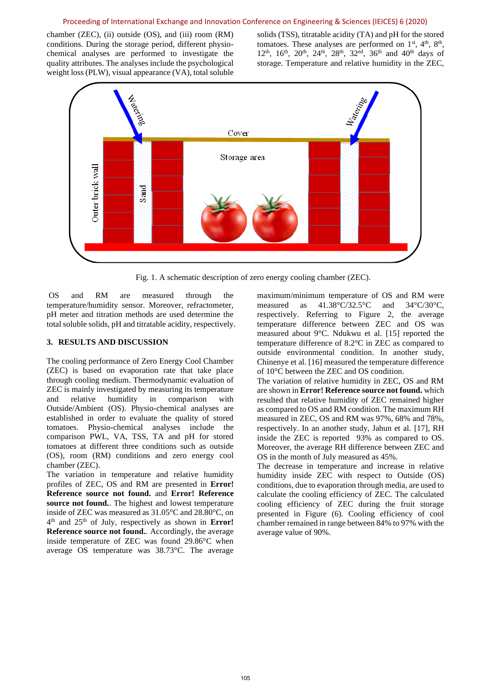#### Proceeding of International Exchange and Innovation Conference on Engineering & Sciences (IEICES) 6 (2020)

chamber (ZEC), (ii) outside (OS), and (iii) room (RM) conditions. During the storage period, different physiochemical analyses are performed to investigate the quality attributes. The analyses include the psychological weight loss (PLW), visual appearance (VA), total soluble

solids (TSS), titratable acidity (TA) and pH for the stored tomatoes. These analyses are performed on  $1<sup>st</sup>$ ,  $4<sup>th</sup>$ ,  $8<sup>th</sup>$ ,  $12<sup>th</sup>$ ,  $16<sup>th</sup>$ ,  $20<sup>th</sup>$ ,  $24<sup>th</sup>$ ,  $28<sup>th</sup>$ ,  $32<sup>nd</sup>$ ,  $36<sup>th</sup>$  and  $40<sup>th</sup>$  days of storage. Temperature and relative humidity in the ZEC,



Fig. 1. A schematic description of zero energy cooling chamber (ZEC).

OS and RM are measured through the temperature/humidity sensor. Moreover, refractometer, pH meter and titration methods are used determine the total soluble solids, pH and titratable acidity, respectively.

## **3. RESULTS AND DISCUSSION**

The cooling performance of Zero Energy Cool Chamber (ZEC) is based on evaporation rate that take place through cooling medium. Thermodynamic evaluation of ZEC is mainly investigated by measuring its temperature and relative humidity in comparison with Outside/Ambient (OS). Physio-chemical analyses are established in order to evaluate the quality of stored tomatoes. Physio-chemical analyses include the comparison PWL, VA, TSS, TA and pH for stored tomatoes at different three conditions such as outside (OS), room (RM) conditions and zero energy cool chamber (ZEC).

The variation in temperature and relative humidity profiles of ZEC, OS and RM are presented in **Error! Reference source not found.** and **Error! Reference source not found.**. The highest and lowest temperature inside of ZEC was measured as 31.05°C and 28.80°C, on 4 th and 25th of July, respectively as shown in **Error! Reference source not found.**. Accordingly, the average inside temperature of ZEC was found 29.86°C when average OS temperature was 38.73°C. The average

maximum/minimum temperature of OS and RM were measured as 41.38°C/32.5°C and 34°C/30°C, respectively. Referring to Figure 2, the average temperature difference between ZEC and OS was measured about 9°C. Ndukwu et al. [15] reported the temperature difference of 8.2°C in ZEC as compared to outside environmental condition. In another study, Chinenye et al. [16] measured the temperature difference of 10°C between the ZEC and OS condition.

The variation of relative humidity in ZEC, OS and RM are shown in **Error! Reference source not found.** which resulted that relative humidity of ZEC remained higher as compared to OS and RM condition. The maximum RH measured in ZEC, OS and RM was 97%, 68% and 78%, respectively. In an another study, Jahun et al. [17], RH inside the ZEC is reported 93% as compared to OS. Moreover, the average RH difference between ZEC and OS in the month of July measured as 45%.

The decrease in temperature and increase in relative humidity inside ZEC with respect to Outside (OS) conditions, due to evaporation through media, are used to calculate the cooling efficiency of ZEC. The calculated cooling efficiency of ZEC during the fruit storage presented in Figure (6). Cooling efficiency of cool chamber remained in range between 84% to 97% with the average value of 90%.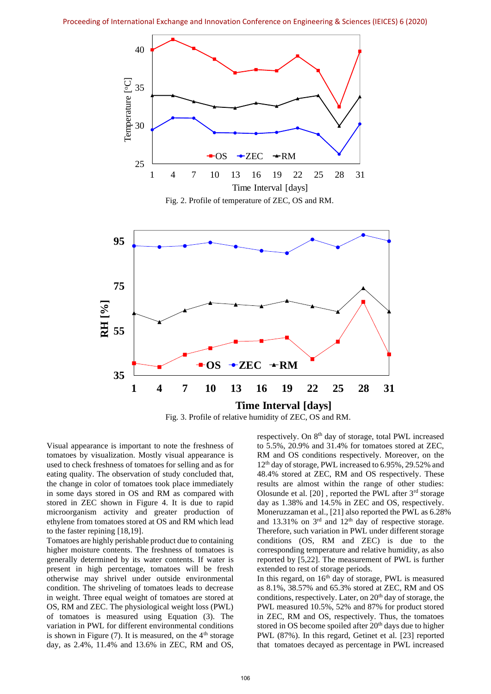

Fig. 3. Profile of relative humidity of ZEC, OS and RM. **Time Interval [days]**

Visual appearance is important to note the freshness of tomatoes by visualization. Mostly visual appearance is used to check freshness of tomatoes for selling and as for eating quality. The observation of study concluded that, the change in color of tomatoes took place immediately in some days stored in OS and RM as compared with stored in ZEC shown in Figure 4. It is due to rapid microorganism activity and greater production of ethylene from tomatoes stored at OS and RM which lead to the faster repining [18,19].

Tomatoes are highly perishable product due to containing higher moisture contents. The freshness of tomatoes is generally determined by its water contents. If water is present in high percentage, tomatoes will be fresh otherwise may shrivel under outside environmental condition. The shriveling of tomatoes leads to decrease in weight. Three equal weight of tomatoes are stored at OS, RM and ZEC. The physiological weight loss (PWL) of tomatoes is measured using Equation (3). The variation in PWL for different environmental conditions is shown in Figure  $(7)$ . It is measured, on the 4<sup>th</sup> storage day, as 2.4%, 11.4% and 13.6% in ZEC, RM and OS,

respectively. On 8th day of storage, total PWL increased to 5.5%, 20.9% and 31.4% for tomatoes stored at ZEC, RM and OS conditions respectively. Moreover, on the 12<sup>th</sup> day of storage, PWL increased to 6.95%, 29.52% and 48.4% stored at ZEC, RM and OS respectively. These results are almost within the range of other studies: Olosunde et al. [20] , reported the PWL after 3rd storage day as 1.38% and 14.5% in ZEC and OS, respectively. Moneruzzaman et al., [21] also reported the PWL as 6.28% and  $13.31\%$  on  $3<sup>rd</sup>$  and  $12<sup>th</sup>$  day of respective storage. Therefore, such variation in PWL under different storage conditions (OS, RM and ZEC) is due to the corresponding temperature and relative humidity, as also reported by [5,22]. The measurement of PWL is further extended to rest of storage periods.

In this regard, on 16<sup>th</sup> day of storage, PWL is measured as 8.1%, 38.57% and 65.3% stored at ZEC, RM and OS conditions, respectively. Later, on 20<sup>th</sup> day of storage, the PWL measured 10.5%, 52% and 87% for product stored in ZEC, RM and OS, respectively. Thus, the tomatoes stored in OS become spoiled after 20<sup>th</sup> days due to higher PWL (87%). In this regard, Getinet et al. [23] reported that tomatoes decayed as percentage in PWL increased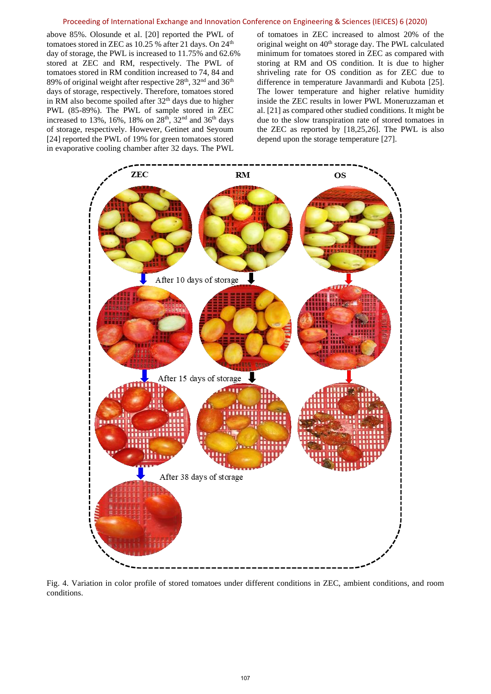#### Proceeding of International Exchange and Innovation Conference on Engineering & Sciences (IEICES) 6 (2020)

above 85%. Olosunde et al. [20] reported the PWL of tomatoes stored in ZEC as  $10.25$  % after 21 days. On  $24<sup>th</sup>$ day of storage, the PWL is increased to 11.75% and 62.6% stored at ZEC and RM, respectively. The PWL of tomatoes stored in RM condition increased to 74, 84 and 89% of original weight after respective  $28^{\text{th}}$ ,  $32^{\text{nd}}$  and  $36^{\text{th}}$ days of storage, respectively. Therefore, tomatoes stored in RM also become spoiled after 32th days due to higher PWL (85-89%). The PWL of sample stored in ZEC increased to 13%, 16%, 18% on  $28<sup>th</sup>$ , 32<sup>nd</sup> and 36<sup>th</sup> days of storage, respectively. However, Getinet and Seyoum [24] reported the PWL of 19% for green tomatoes stored in evaporative cooling chamber after 32 days. The PWL

of tomatoes in ZEC increased to almost 20% of the original weight on 40<sup>th</sup> storage day. The PWL calculated minimum for tomatoes stored in ZEC as compared with storing at RM and OS condition. It is due to higher shriveling rate for OS condition as for ZEC due to difference in temperature Javanmardi and Kubota [25]. The lower temperature and higher relative humidity inside the ZEC results in lower PWL Moneruzzaman et al. [21] as compared other studied conditions. It might be due to the slow transpiration rate of stored tomatoes in the ZEC as reported by [18,25,26]. The PWL is also depend upon the storage temperature [27].



Fig. 4. Variation in color profile of stored tomatoes under different conditions in ZEC, ambient conditions, and room conditions.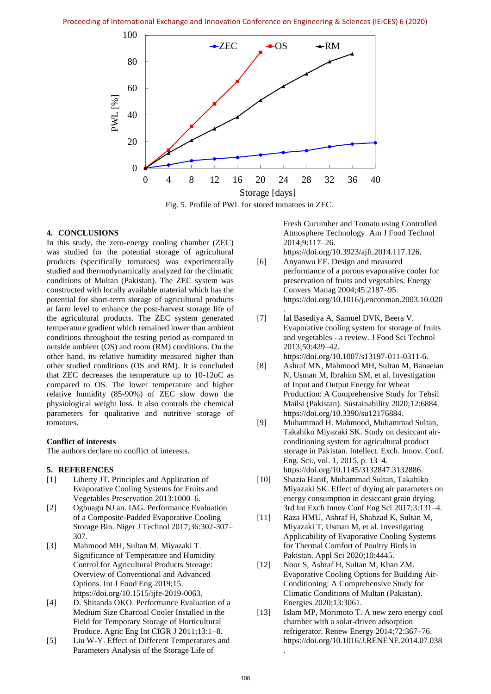

Fig. 5. Profile of PWL for stored tomatoes in ZEC.

.

## **4. CONCLUSIONS**

In this study, the zero-energy cooling chamber (ZEC) was studied for the potential storage of agricultural products (specifically tomatoes) was experimentally studied and thermodynamically analyzed for the climatic conditions of Multan (Pakistan). The ZEC system was constructed with locally available material which has the potential for short-term storage of agricultural products at farm level to enhance the post-harvest storage life of the agricultural products. The ZEC system generated temperature gradient which remained lower than ambient conditions throughout the testing period as compared to outside ambient (OS) and room (RM) conditions. On the other hand, its relative humidity measured higher than other studied conditions (OS and RM). It is concluded that ZEC decreases the temperature up to 10-12oC as compared to OS. The lower temperature and higher relative humidity (85-90%) of ZEC slow down the physiological weight loss. It also controls the chemical parameters for qualitative and nutritive storage of tomatoes.

## **Conflict of interests**

The authors declare no conflict of interests.

#### **5. REFERENCES**

- [1] Liberty JT. Principles and Application of Evaporative Cooling Systems for Fruits and Vegetables Preservation 2013:1000–6.
- [2] Ogbuagu NJ an. IAG. Performance Evaluation of a Composite-Padded Evaporative Cooling Storage Bin. Niger J Technol 2017;36:302-307– 307.
- [3] Mahmood MH, Sultan M, Miyazaki T. Significance of Temperature and Humidity Control for Agricultural Products Storage: Overview of Conventional and Advanced Options. Int J Food Eng 2019;15. https://doi.org/10.1515/ijfe-2019-0063.
- [4] D. Shitanda OKO. Performance Evaluation of a Medium Size Charcoal Cooler Installed in the Field for Temporary Storage of Horticultural Produce. Agric Eng Int CIGR J 2011;13:1–8.
- [5] Liu W-Y. Effect of Different Temperatures and Parameters Analysis of the Storage Life of

Fresh Cucumber and Tomato using Controlled Atmosphere Technology. Am J Food Technol 2014;9:117–26. https://doi.org/10.3923/ajft.2014.117.126.

- [6] Anyanwu EE. Design and measured performance of a porous evaporative cooler for preservation of fruits and vegetables. Energy Convers Manag 2004;45:2187–95. https://doi.org/10.1016/j.enconman.2003.10.020
- [7] lal Basediya A, Samuel DVK, Beera V. Evaporative cooling system for storage of fruits and vegetables - a review. J Food Sci Technol 2013;50:429–42. https://doi.org/10.1007/s13197-011-0311-6.
- [8] Ashraf MN, Mahmood MH, Sultan M, Banaeian N, Usman M, Ibrahim SM, et al. Investigation of Input and Output Energy for Wheat Production: A Comprehensive Study for Tehsil Mailsi (Pakistan). Sustainability 2020;12:6884. https://doi.org/10.3390/su12176884.
- [9] Muhammad H. Mahmood, Muhammad Sultan, Takahiko Miyazaki SK. Study on desiccant airconditioning system for agricultural product storage in Pakistan. Intellect. Exch. Innov. Conf. Eng. Sci., vol. 1, 2015, p. 13–4. https://doi.org/10.1145/3132847.3132886.
- [10] Shazia Hanif, Muhammad Sultan, Takahiko Miyazaki SK. Effect of drying air parameters on energy consumption in desiccant grain drying. 3rd Int Exch Innov Conf Eng Sci 2017;3:131–4.
- [11] Raza HMU, Ashraf H, Shahzad K, Sultan M, Miyazaki T, Usman M, et al. Investigating Applicability of Evaporative Cooling Systems for Thermal Comfort of Poultry Birds in Pakistan. Appl Sci 2020;10:4445.
- [12] Noor S, Ashraf H, Sultan M, Khan ZM. Evaporative Cooling Options for Building Air-Conditioning: A Comprehensive Study for Climatic Conditions of Multan (Pakistan). Energies 2020;13:3061.
- [13] Islam MP, Morimoto T. A new zero energy cool chamber with a solar-driven adsorption refrigerator. Renew Energy 2014;72:367–76. https://doi.org/10.1016/J.RENENE.2014.07.038

.